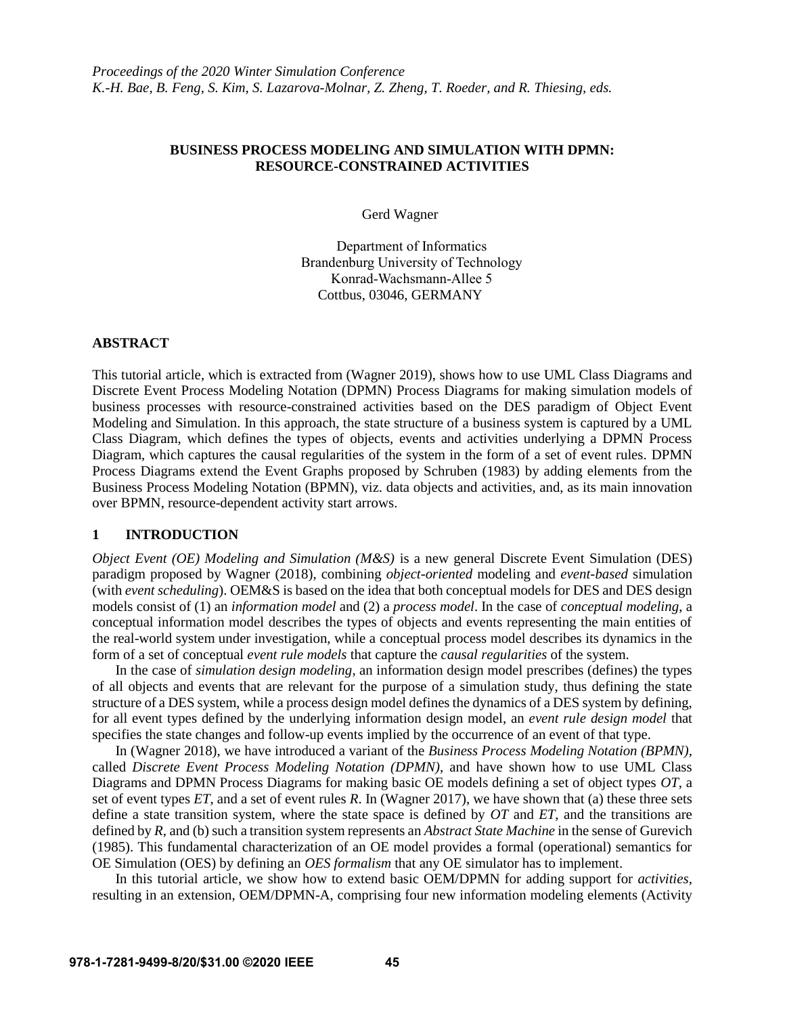# **BUSINESS PROCESS MODELING AND SIMULATION WITH DPMN: RESOURCE-CONSTRAINED ACTIVITIES**

Gerd Wagner

Department of Informatics Brandenburg University of Technology Konrad-Wachsmann-Allee 5 Cottbus, 03046, GERMANY

### **ABSTRACT**

This tutorial article, which is extracted from (Wagner 2019), shows how to use UML Class Diagrams and Discrete Event Process Modeling Notation (DPMN) Process Diagrams for making simulation models of business processes with resource-constrained activities based on the DES paradigm of Object Event Modeling and Simulation. In this approach, the state structure of a business system is captured by a UML Class Diagram, which defines the types of objects, events and activities underlying a DPMN Process Diagram, which captures the causal regularities of the system in the form of a set of event rules. DPMN Process Diagrams extend the Event Graphs proposed by Schruben (1983) by adding elements from the Business Process Modeling Notation (BPMN), viz. data objects and activities, and, as its main innovation over BPMN, resource-dependent activity start arrows.

## **1 INTRODUCTION**

*Object Event (OE) Modeling and Simulation (M&S)* is a new general Discrete Event Simulation (DES) paradigm proposed by Wagner (2018), combining *object-oriented* modeling and *event-based* simulation (with *event scheduling*). OEM&S is based on the idea that both conceptual models for DES and DES design models consist of (1) an *information model* and (2) a *process model*. In the case of *conceptual modeling*, a conceptual information model describes the types of objects and events representing the main entities of the real-world system under investigation, while a conceptual process model describes its dynamics in the form of a set of conceptual *event rule models* that capture the *causal regularities* of the system.

In the case of *simulation design modeling*, an information design model prescribes (defines) the types of all objects and events that are relevant for the purpose of a simulation study, thus defining the state structure of a DES system, while a process design model defines the dynamics of a DES system by defining, for all event types defined by the underlying information design model, an *event rule design model* that specifies the state changes and follow-up events implied by the occurrence of an event of that type.

In (Wagner 2018), we have introduced a variant of the *Business Process Modeling Notation (BPMN)*, called *Discrete Event Process Modeling Notation (DPMN)*, and have shown how to use UML Class Diagrams and DPMN Process Diagrams for making basic OE models defining a set of object types *OT*, a set of event types *ET*, and a set of event rules *R*. In (Wagner 2017), we have shown that (a) these three sets define a state transition system, where the state space is defined by *OT* and *ET*, and the transitions are defined by *R*, and (b) such a transition system represents an *Abstract State Machine* in the sense of Gurevich (1985). This fundamental characterization of an OE model provides a formal (operational) semantics for OE Simulation (OES) by defining an *OES formalism* that any OE simulator has to implement.

In this tutorial article, we show how to extend basic OEM/DPMN for adding support for *activities*, resulting in an extension, OEM/DPMN-A, comprising four new information modeling elements (Activity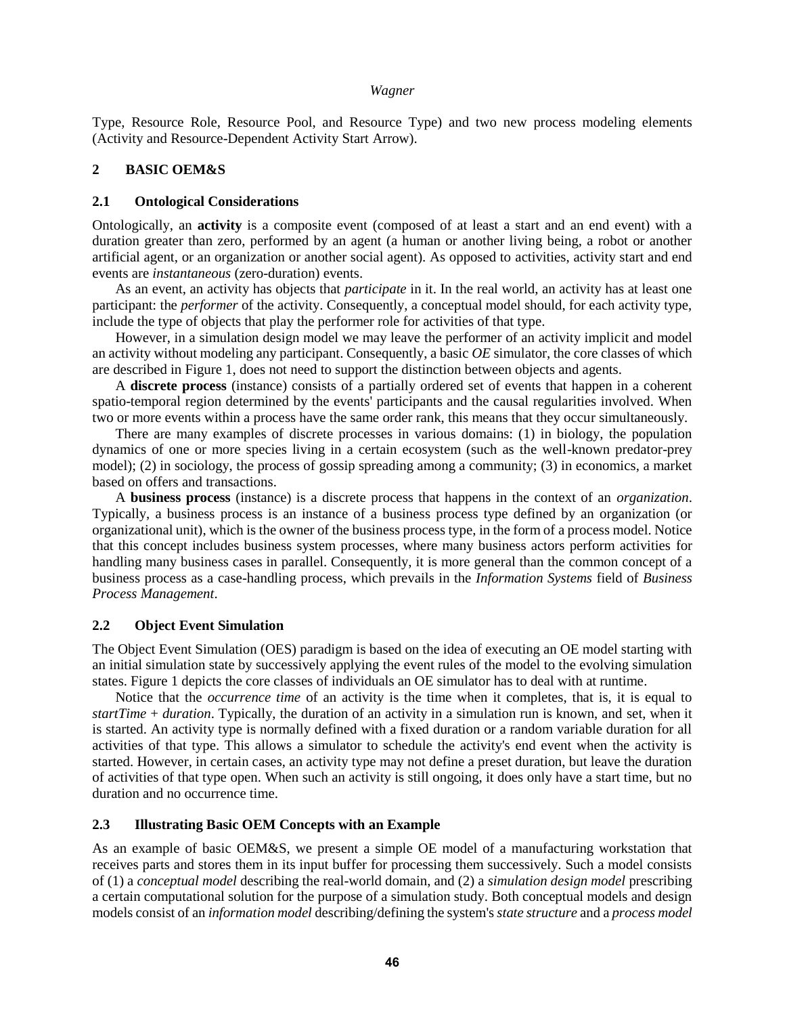Type, Resource Role, Resource Pool, and Resource Type) and two new process modeling elements (Activity and Resource-Dependent Activity Start Arrow).

### **2 BASIC OEM&S**

### **2.1 Ontological Considerations**

Ontologically, an **activity** is a composite event (composed of at least a start and an end event) with a duration greater than zero, performed by an agent (a human or another living being, a robot or another artificial agent, or an organization or another social agent). As opposed to activities, activity start and end events are *instantaneous* (zero-duration) events.

As an event, an activity has objects that *participate* in it. In the real world, an activity has at least one participant: the *performer* of the activity. Consequently, a conceptual model should, for each activity type, include the type of objects that play the performer role for activities of that type.

However, in a simulation design model we may leave the performer of an activity implicit and model an activity without modeling any participant. Consequently, a basic *OE* simulator, the core classes of which are described in Figure 1, does not need to support the distinction between objects and agents.

A **discrete process** (instance) consists of a partially ordered set of events that happen in a coherent spatio-temporal region determined by the events' participants and the causal regularities involved. When two or more events within a process have the same order rank, this means that they occur simultaneously.

There are many examples of discrete processes in various domains: (1) in biology, the population dynamics of one or more species living in a certain ecosystem (such as the well-known predator-prey model); (2) in sociology, the process of gossip spreading among a community; (3) in economics, a market based on offers and transactions.

A **business process** (instance) is a discrete process that happens in the context of an *organization*. Typically, a business process is an instance of a business process type defined by an organization (or organizational unit), which is the owner of the business process type, in the form of a process model. Notice that this concept includes business system processes, where many business actors perform activities for handling many business cases in parallel. Consequently, it is more general than the common concept of a business process as a case-handling process, which prevails in the *Information Systems* field of *Business Process Management*.

## **2.2 Object Event Simulation**

The Object Event Simulation (OES) paradigm is based on the idea of executing an OE model starting with an initial simulation state by successively applying the event rules of the model to the evolving simulation states. Figure 1 depicts the core classes of individuals an OE simulator has to deal with at runtime.

Notice that the *occurrence time* of an activity is the time when it completes, that is, it is equal to *startTime* + *duration*. Typically, the duration of an activity in a simulation run is known, and set, when it is started. An activity type is normally defined with a fixed duration or a random variable duration for all activities of that type. This allows a simulator to schedule the activity's end event when the activity is started. However, in certain cases, an activity type may not define a preset duration, but leave the duration of activities of that type open. When such an activity is still ongoing, it does only have a start time, but no duration and no occurrence time.

# **2.3 Illustrating Basic OEM Concepts with an Example**

As an example of basic OEM&S, we present a simple OE model of a manufacturing workstation that receives parts and stores them in its input buffer for processing them successively. Such a model consists of (1) a *conceptual model* describing the real-world domain, and (2) a *simulation design model* prescribing a certain computational solution for the purpose of a simulation study. Both conceptual models and design models consist of an *information model* describing/defining the system's *state structure* and a *process model*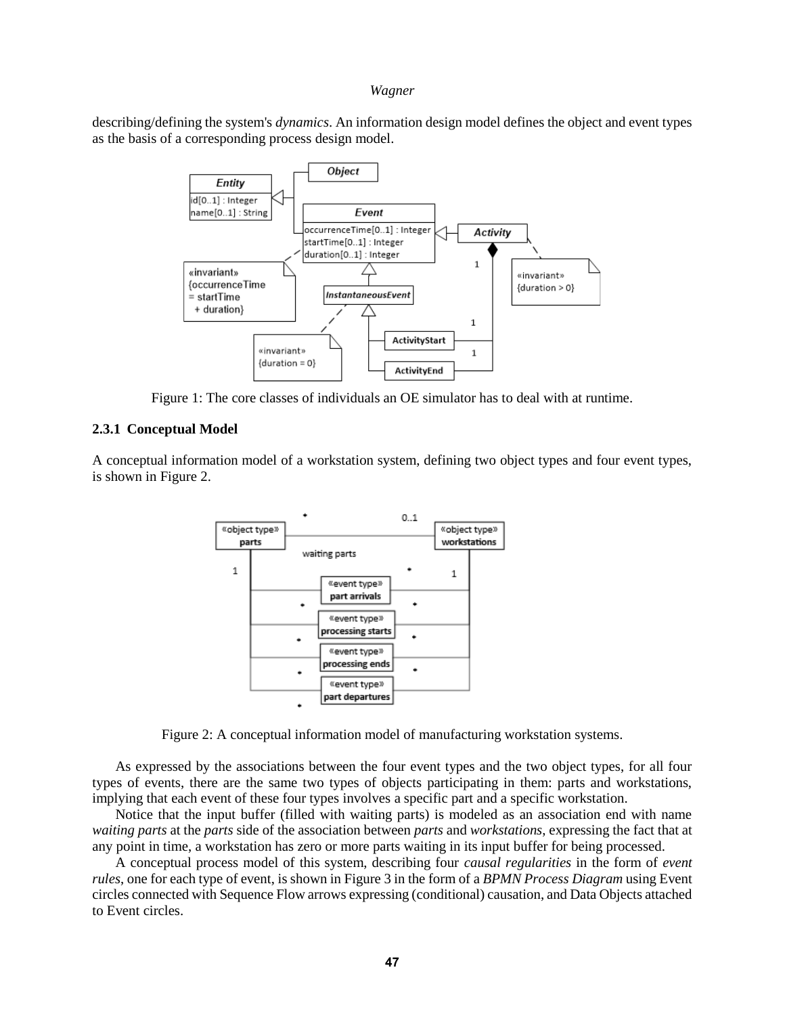describing/defining the system's *dynamics*. An information design model defines the object and event types as the basis of a corresponding process design model.



Figure 1: The core classes of individuals an OE simulator has to deal with at runtime.

### **2.3.1 Conceptual Model**

A conceptual information model of a workstation system, defining two object types and four event types, is shown in Figure 2.





As expressed by the associations between the four event types and the two object types, for all four types of events, there are the same two types of objects participating in them: parts and workstations, implying that each event of these four types involves a specific part and a specific workstation.

Notice that the input buffer (filled with waiting parts) is modeled as an association end with name *waiting parts* at the *parts* side of the association between *parts* and *workstations*, expressing the fact that at any point in time, a workstation has zero or more parts waiting in its input buffer for being processed.

A conceptual process model of this system, describing four *causal regularities* in the form of *event rules*, one for each type of event, is shown in Figure 3 in the form of a *BPMN Process Diagram* using Event circles connected with Sequence Flow arrows expressing (conditional) causation, and Data Objects attached to Event circles.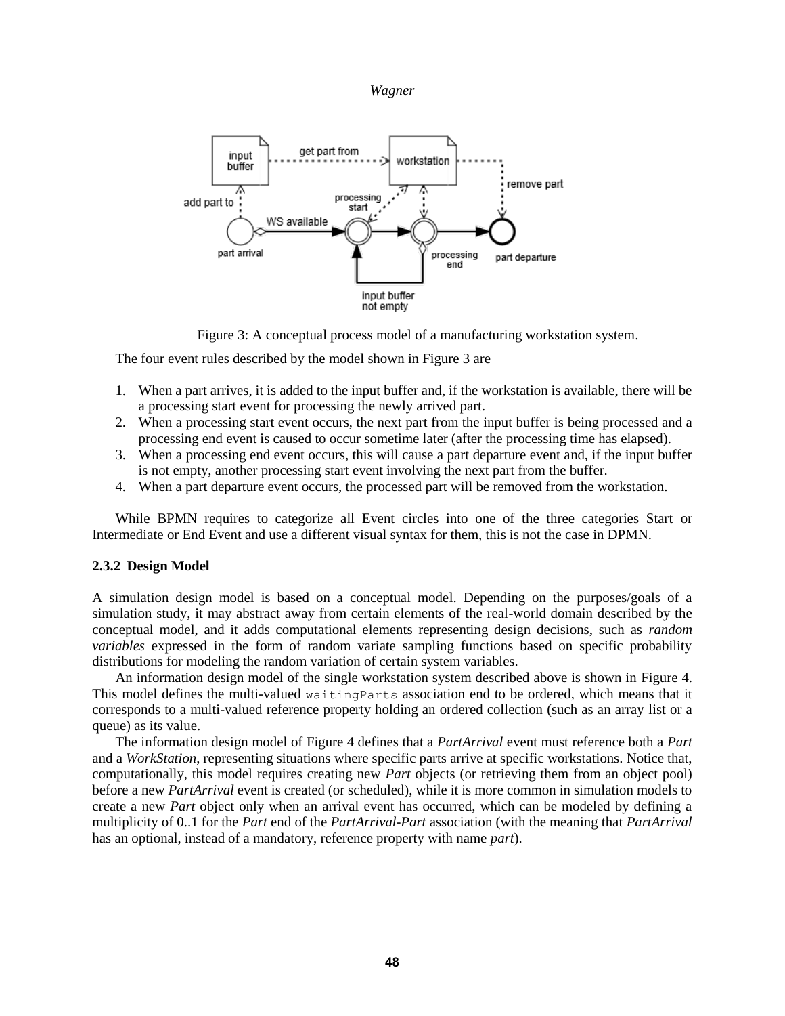



Figure 3: A conceptual process model of a manufacturing workstation system.

The four event rules described by the model shown in Figure 3 are

- 1. When a part arrives, it is added to the input buffer and, if the workstation is available, there will be a processing start event for processing the newly arrived part.
- 2. When a processing start event occurs, the next part from the input buffer is being processed and a processing end event is caused to occur sometime later (after the processing time has elapsed).
- 3. When a processing end event occurs, this will cause a part departure event and, if the input buffer is not empty, another processing start event involving the next part from the buffer.
- 4. When a part departure event occurs, the processed part will be removed from the workstation.

While BPMN requires to categorize all Event circles into one of the three categories Start or Intermediate or End Event and use a different visual syntax for them, this is not the case in DPMN.

## **2.3.2 Design Model**

A simulation design model is based on a conceptual model. Depending on the purposes/goals of a simulation study, it may abstract away from certain elements of the real-world domain described by the conceptual model, and it adds computational elements representing design decisions, such as *random variables* expressed in the form of random variate sampling functions based on specific probability distributions for modeling the random variation of certain system variables.

An information design model of the single workstation system described above is shown in Figure 4. This model defines the multi-valued waiting Parts association end to be ordered, which means that it corresponds to a multi-valued reference property holding an ordered collection (such as an array list or a queue) as its value.

The information design model of Figure 4 defines that a *PartArrival* event must reference both a *Part* and a *WorkStation*, representing situations where specific parts arrive at specific workstations. Notice that, computationally, this model requires creating new *Part* objects (or retrieving them from an object pool) before a new *PartArrival* event is created (or scheduled), while it is more common in simulation models to create a new *Part* object only when an arrival event has occurred, which can be modeled by defining a multiplicity of 0..1 for the *Part* end of the *PartArrival*-*Part* association (with the meaning that *PartArrival* has an optional, instead of a mandatory, reference property with name *part*).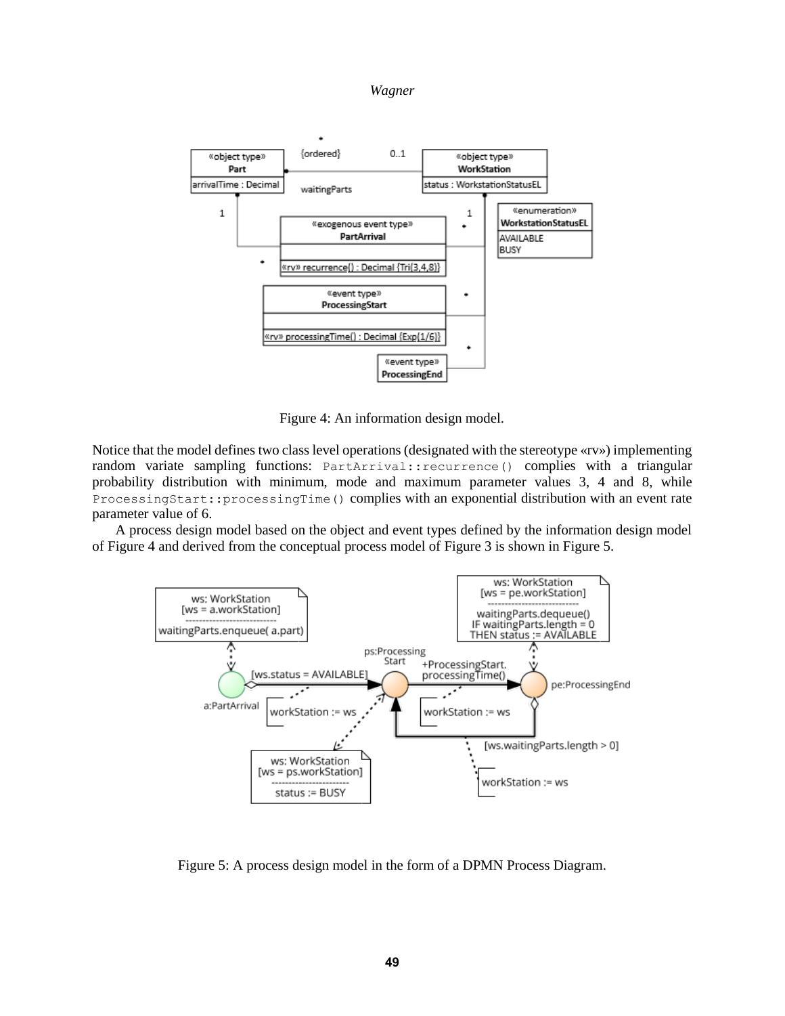



Figure 4: An information design model.

Notice that the model defines two class level operations (designated with the stereotype «rv») implementing random variate sampling functions: PartArrival::recurrence() complies with a triangular probability distribution with minimum, mode and maximum parameter values 3, 4 and 8, while ProcessingStart::processingTime() complies with an exponential distribution with an event rate parameter value of 6.

A process design model based on the object and event types defined by the information design model of Figure 4 and derived from the conceptual process model of Figure 3 is shown in Figure 5.



Figure 5: A process design model in the form of a DPMN Process Diagram.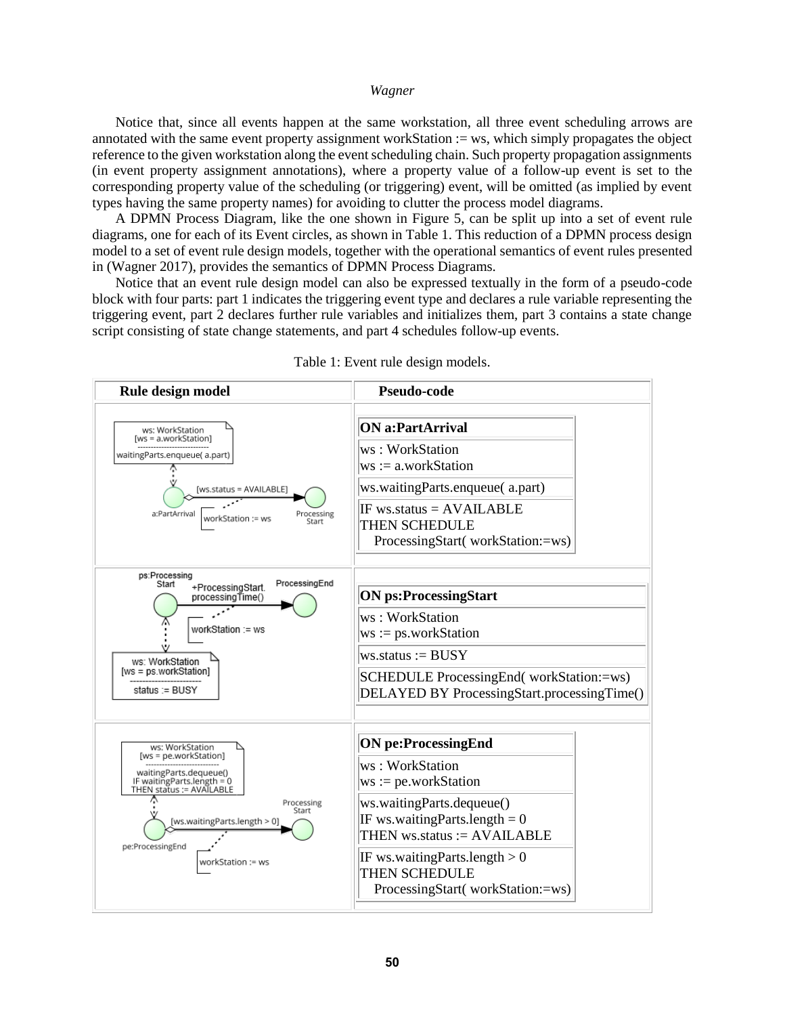Notice that, since all events happen at the same workstation, all three event scheduling arrows are annotated with the same event property assignment workStation := ws, which simply propagates the object reference to the given workstation along the event scheduling chain. Such property propagation assignments (in event property assignment annotations), where a property value of a follow-up event is set to the corresponding property value of the scheduling (or triggering) event, will be omitted (as implied by event types having the same property names) for avoiding to clutter the process model diagrams.

A DPMN Process Diagram, like the one shown in Figure 5, can be split up into a set of event rule diagrams, one for each of its Event circles, as shown in Table 1. This reduction of a DPMN process design model to a set of event rule design models, together with the operational semantics of event rules presented in (Wagner 2017), provides the semantics of DPMN Process Diagrams.

Notice that an event rule design model can also be expressed textually in the form of a pseudo-code block with four parts: part 1 indicates the triggering event type and declares a rule variable representing the triggering event, part 2 declares further rule variables and initializes them, part 3 contains a state change script consisting of state change statements, and part 4 schedules follow-up events.



Table 1: Event rule design models.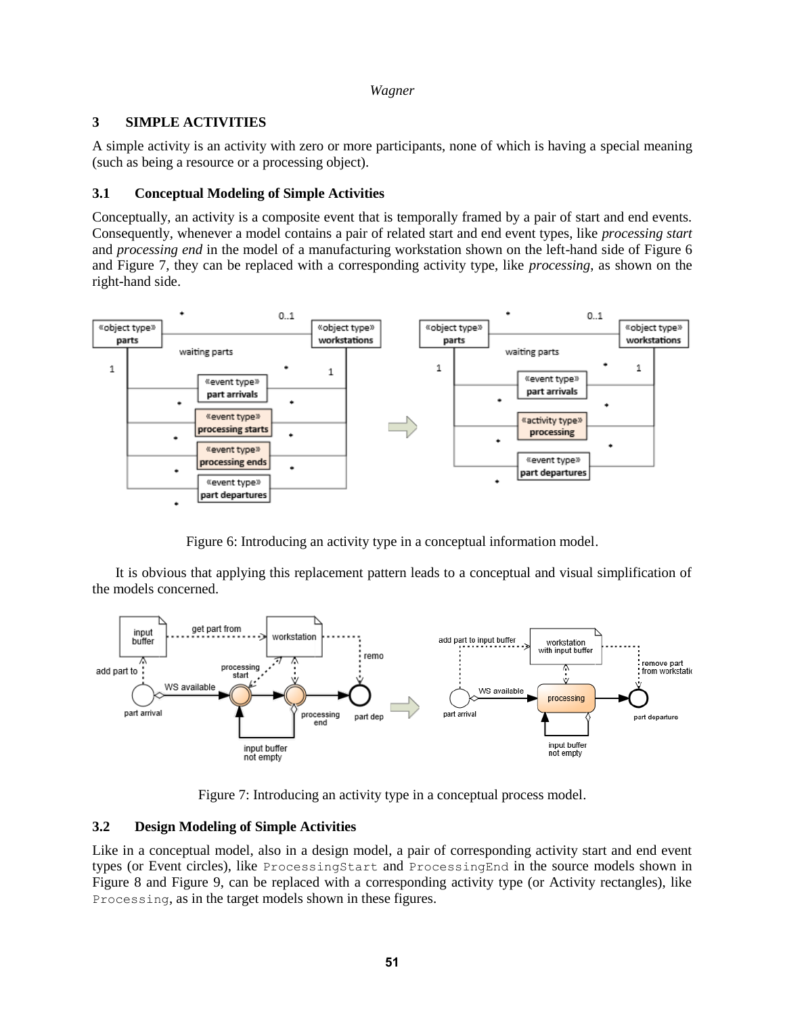# **3 SIMPLE ACTIVITIES**

A simple activity is an activity with zero or more participants, none of which is having a special meaning (such as being a resource or a processing object).

# **3.1 Conceptual Modeling of Simple Activities**

Conceptually, an activity is a composite event that is temporally framed by a pair of start and end events. Consequently, whenever a model contains a pair of related start and end event types, like *processing start* and *processing end* in the model of a manufacturing workstation shown on the left-hand side of Figure 6 and Figure 7, they can be replaced with a corresponding activity type, like *processing*, as shown on the right-hand side.



Figure 6: Introducing an activity type in a conceptual information model.

It is obvious that applying this replacement pattern leads to a conceptual and visual simplification of the models concerned.



Figure 7: Introducing an activity type in a conceptual process model.

# **3.2 Design Modeling of Simple Activities**

Like in a conceptual model, also in a design model, a pair of corresponding activity start and end event types (or Event circles), like ProcessingStart and ProcessingEnd in the source models shown in Figure 8 and Figure 9, can be replaced with a corresponding activity type (or Activity rectangles), like Processing, as in the target models shown in these figures.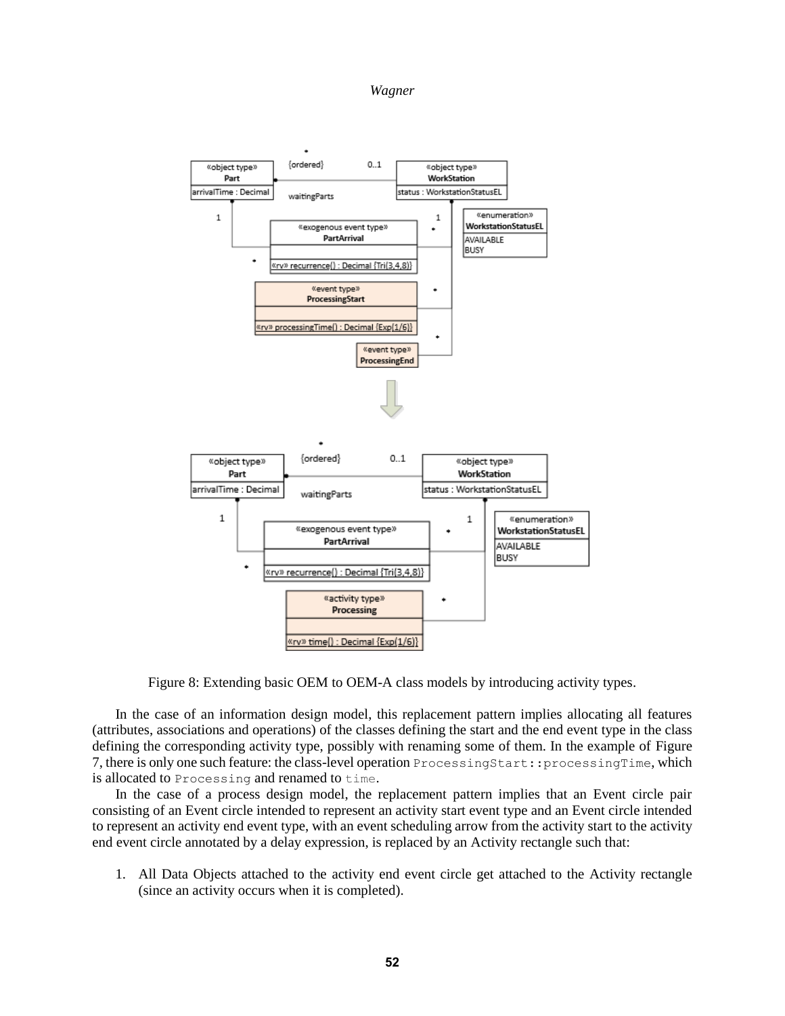

Figure 8: Extending basic OEM to OEM-A class models by introducing activity types.

In the case of an information design model, this replacement pattern implies allocating all features (attributes, associations and operations) of the classes defining the start and the end event type in the class defining the corresponding activity type, possibly with renaming some of them. In the example of Figure 7, there is only one such feature: the class-level operation ProcessingStart::processingTime, which is allocated to Processing and renamed to time.

In the case of a process design model, the replacement pattern implies that an Event circle pair consisting of an Event circle intended to represent an activity start event type and an Event circle intended to represent an activity end event type, with an event scheduling arrow from the activity start to the activity end event circle annotated by a delay expression, is replaced by an Activity rectangle such that:

1. All Data Objects attached to the activity end event circle get attached to the Activity rectangle (since an activity occurs when it is completed).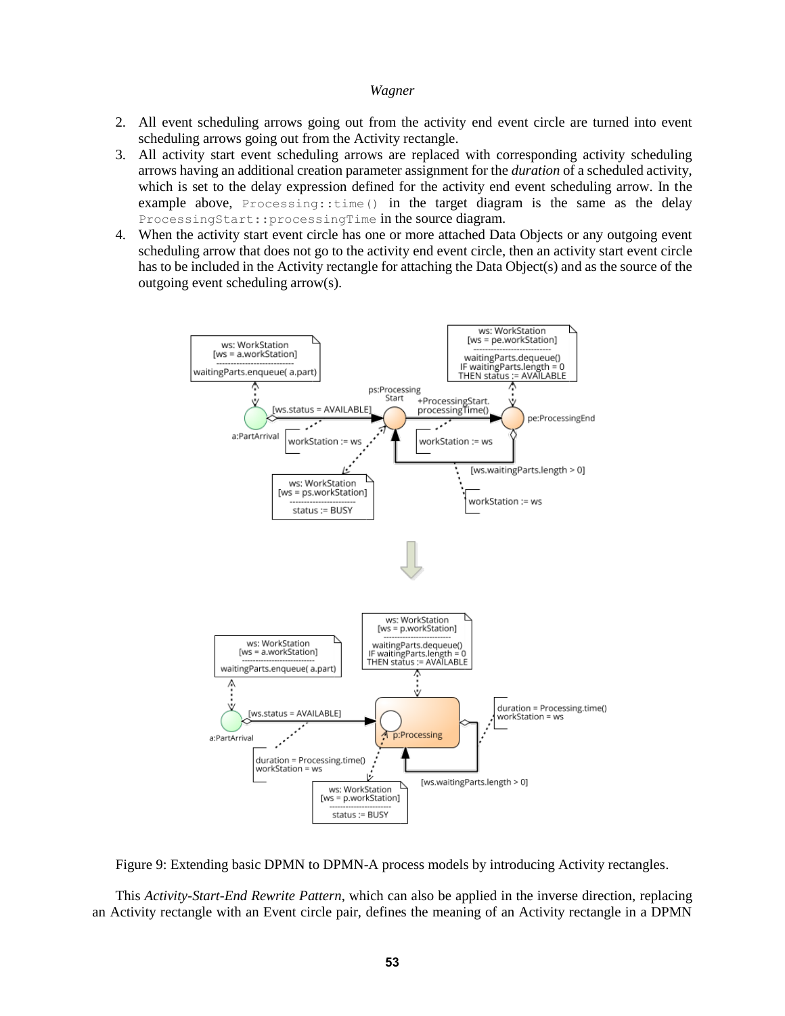- 2. All event scheduling arrows going out from the activity end event circle are turned into event scheduling arrows going out from the Activity rectangle.
- 3. All activity start event scheduling arrows are replaced with corresponding activity scheduling arrows having an additional creation parameter assignment for the *duration* of a scheduled activity, which is set to the delay expression defined for the activity end event scheduling arrow. In the example above, Processing::time() in the target diagram is the same as the delay ProcessingStart:: processingTime in the source diagram.
- 4. When the activity start event circle has one or more attached Data Objects or any outgoing event scheduling arrow that does not go to the activity end event circle, then an activity start event circle has to be included in the Activity rectangle for attaching the Data Object(s) and as the source of the outgoing event scheduling arrow(s).



Figure 9: Extending basic DPMN to DPMN-A process models by introducing Activity rectangles.

This *Activity-Start-End Rewrite Pattern*, which can also be applied in the inverse direction, replacing an Activity rectangle with an Event circle pair, defines the meaning of an Activity rectangle in a DPMN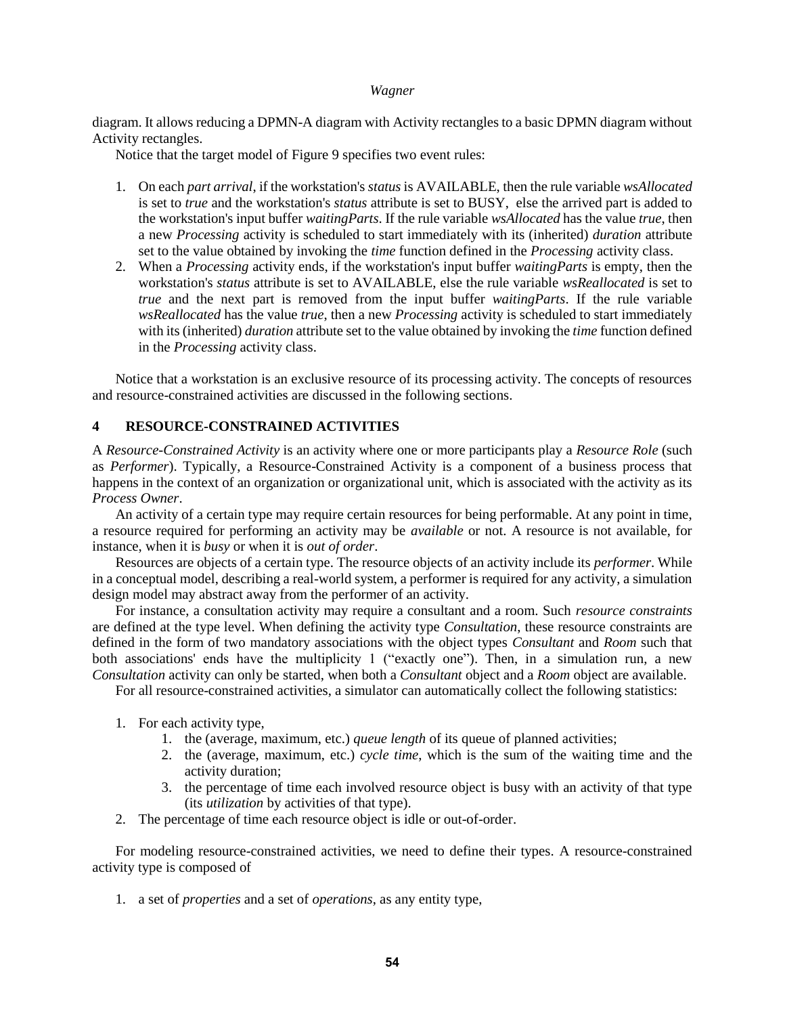diagram. It allows reducing a DPMN-A diagram with Activity rectangles to a basic DPMN diagram without Activity rectangles.

Notice that the target model of Figure 9 specifies two event rules:

- 1. On each *part arrival*, if the workstation's *status* is AVAILABLE, then the rule variable *wsAllocated* is set to *true* and the workstation's *status* attribute is set to BUSY, else the arrived part is added to the workstation's input buffer *waitingParts*. If the rule variable *wsAllocated* has the value *true*, then a new *Processing* activity is scheduled to start immediately with its (inherited) *duration* attribute set to the value obtained by invoking the *time* function defined in the *Processing* activity class.
- 2. When a *Processing* activity ends, if the workstation's input buffer *waitingParts* is empty, then the workstation's *status* attribute is set to AVAILABLE, else the rule variable *wsReallocated* is set to *true* and the next part is removed from the input buffer *waitingParts*. If the rule variable *wsReallocated* has the value *true*, then a new *Processing* activity is scheduled to start immediately with its (inherited) *duration* attribute set to the value obtained by invoking the *time* function defined in the *Processing* activity class.

Notice that a workstation is an exclusive resource of its processing activity. The concepts of resources and resource-constrained activities are discussed in the following sections.

## **4 RESOURCE-CONSTRAINED ACTIVITIES**

A *Resource-Constrained Activity* is an activity where one or more participants play a *Resource Role* (such as *Performer*). Typically, a Resource-Constrained Activity is a component of a business process that happens in the context of an organization or organizational unit, which is associated with the activity as its *Process Owner*.

An activity of a certain type may require certain resources for being performable. At any point in time, a resource required for performing an activity may be *available* or not. A resource is not available, for instance, when it is *busy* or when it is *out of order*.

Resources are objects of a certain type. The resource objects of an activity include its *performer*. While in a conceptual model, describing a real-world system, a performer is required for any activity, a simulation design model may abstract away from the performer of an activity.

For instance, a consultation activity may require a consultant and a room. Such *resource constraints* are defined at the type level. When defining the activity type *Consultation*, these resource constraints are defined in the form of two mandatory associations with the object types *Consultant* and *Room* such that both associations' ends have the multiplicity 1 ("exactly one"). Then, in a simulation run, a new *Consultation* activity can only be started, when both a *Consultant* object and a *Room* object are available.

For all resource-constrained activities, a simulator can automatically collect the following statistics:

- 1. For each activity type,
	- 1. the (average, maximum, etc.) *queue length* of its queue of planned activities;
	- 2. the (average, maximum, etc.) *cycle time*, which is the sum of the waiting time and the activity duration;
	- 3. the percentage of time each involved resource object is busy with an activity of that type (its *utilization* by activities of that type).
- 2. The percentage of time each resource object is idle or out-of-order.

For modeling resource-constrained activities, we need to define their types. A resource-constrained activity type is composed of

1. a set of *properties* and a set of *operations*, as any entity type,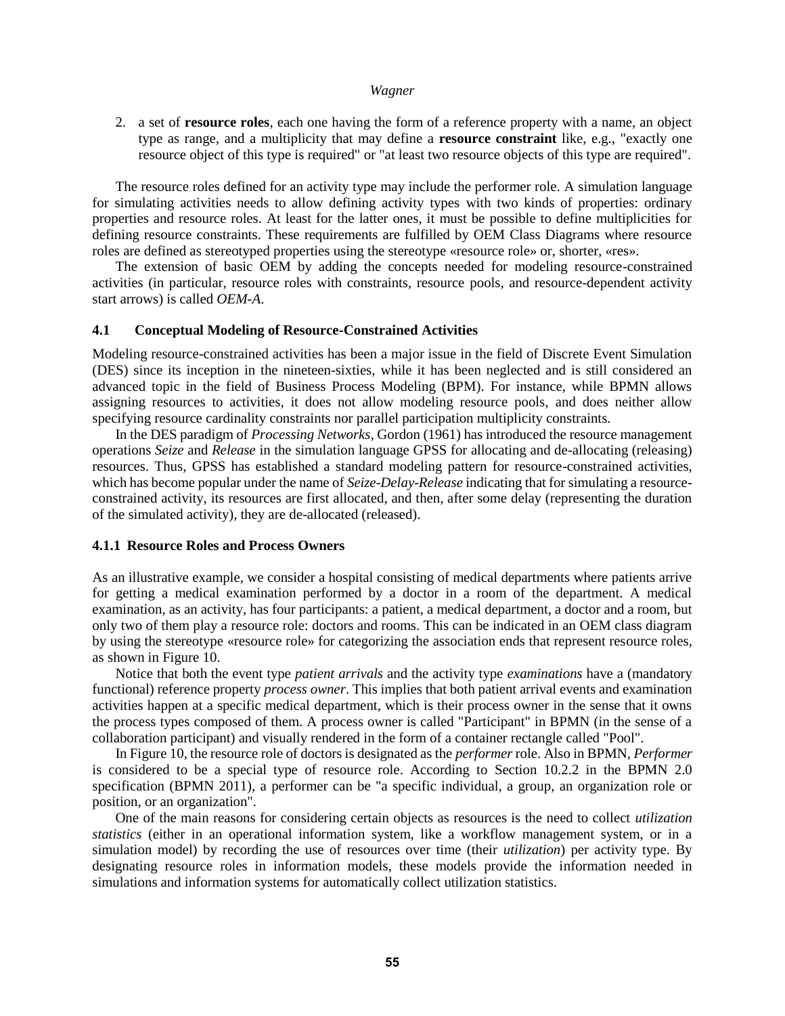2. a set of **resource roles**, each one having the form of a reference property with a name, an object type as range, and a multiplicity that may define a **resource constraint** like, e.g., "exactly one resource object of this type is required" or "at least two resource objects of this type are required".

The resource roles defined for an activity type may include the performer role. A simulation language for simulating activities needs to allow defining activity types with two kinds of properties: ordinary properties and resource roles. At least for the latter ones, it must be possible to define multiplicities for defining resource constraints. These requirements are fulfilled by OEM Class Diagrams where resource roles are defined as stereotyped properties using the stereotype «resource role» or, shorter, «res».

The extension of basic OEM by adding the concepts needed for modeling resource-constrained activities (in particular, resource roles with constraints, resource pools, and resource-dependent activity start arrows) is called *OEM-A*.

### **4.1 Conceptual Modeling of Resource-Constrained Activities**

Modeling resource-constrained activities has been a major issue in the field of Discrete Event Simulation (DES) since its inception in the nineteen-sixties, while it has been neglected and is still considered an advanced topic in the field of Business Process Modeling (BPM). For instance, while BPMN allows assigning resources to activities, it does not allow modeling resource pools, and does neither allow specifying resource cardinality constraints nor parallel participation multiplicity constraints.

In the DES paradigm of *Processing Networks*, Gordon (1961) has introduced the resource management operations *Seize* and *Release* in the simulation language GPSS for allocating and de-allocating (releasing) resources. Thus, GPSS has established a standard modeling pattern for resource-constrained activities, which has become popular under the name of *Seize*-*Delay*-*Release* indicating that for simulating a resourceconstrained activity, its resources are first allocated, and then, after some delay (representing the duration of the simulated activity), they are de-allocated (released).

#### **4.1.1 Resource Roles and Process Owners**

As an illustrative example, we consider a hospital consisting of medical departments where patients arrive for getting a medical examination performed by a doctor in a room of the department. A medical examination, as an activity, has four participants: a patient, a medical department, a doctor and a room, but only two of them play a resource role: doctors and rooms. This can be indicated in an OEM class diagram by using the stereotype «resource role» for categorizing the association ends that represent resource roles, as shown in Figure 10.

Notice that both the event type *patient arrivals* and the activity type *examinations* have a (mandatory functional) reference property *process owner*. This implies that both patient arrival events and examination activities happen at a specific medical department, which is their process owner in the sense that it owns the process types composed of them. A process owner is called "Participant" in BPMN (in the sense of a collaboration participant) and visually rendered in the form of a container rectangle called "Pool".

In Figure 10, the resource role of doctors is designated as the *performer* role. Also in BPMN, *Performer* is considered to be a special type of resource role. According to Section 10.2.2 in the BPMN 2.0 specification (BPMN 2011), a performer can be "a specific individual, a group, an organization role or position, or an organization".

One of the main reasons for considering certain objects as resources is the need to collect *utilization statistics* (either in an operational information system, like a workflow management system, or in a simulation model) by recording the use of resources over time (their *utilization*) per activity type. By designating resource roles in information models, these models provide the information needed in simulations and information systems for automatically collect utilization statistics.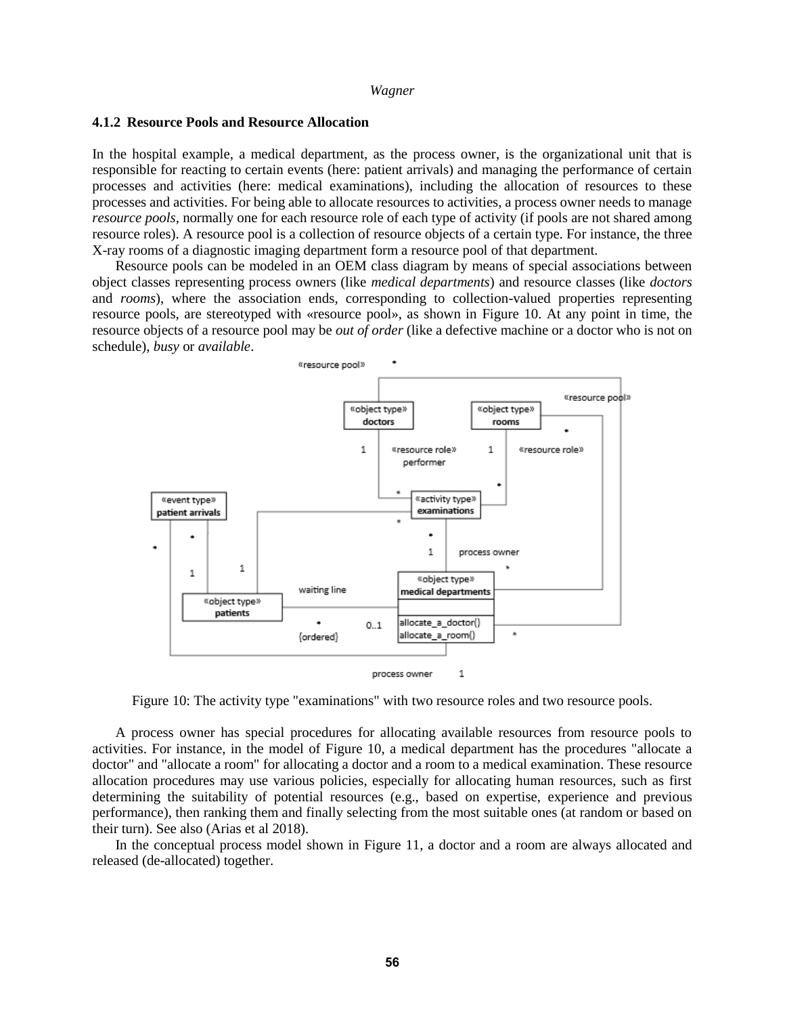#### **4.1.2 Resource Pools and Resource Allocation**

In the hospital example, a medical department, as the process owner, is the organizational unit that is responsible for reacting to certain events (here: patient arrivals) and managing the performance of certain processes and activities (here: medical examinations), including the allocation of resources to these processes and activities. For being able to allocate resources to activities, a process owner needs to manage *resource pools*, normally one for each resource role of each type of activity (if pools are not shared among resource roles). A resource pool is a collection of resource objects of a certain type. For instance, the three X-ray rooms of a diagnostic imaging department form a resource pool of that department.

Resource pools can be modeled in an OEM class diagram by means of special associations between object classes representing process owners (like *medical departments*) and resource classes (like *doctors* and *rooms*), where the association ends, corresponding to collection-valued properties representing resource pools, are stereotyped with «resource pool», as shown in Figure 10. At any point in time, the resource objects of a resource pool may be *out of order* (like a defective machine or a doctor who is not on schedule), *busy* or *available*.



Figure 10: The activity type "examinations" with two resource roles and two resource pools.

A process owner has special procedures for allocating available resources from resource pools to activities. For instance, in the model of Figure 10, a medical department has the procedures "allocate a doctor" and "allocate a room" for allocating a doctor and a room to a medical examination. These resource allocation procedures may use various policies, especially for allocating human resources, such as first determining the suitability of potential resources (e.g., based on expertise, experience and previous performance), then ranking them and finally selecting from the most suitable ones (at random or based on their turn). See also (Arias et al 2018).

In the conceptual process model shown in Figure 11, a doctor and a room are always allocated and released (de-allocated) together.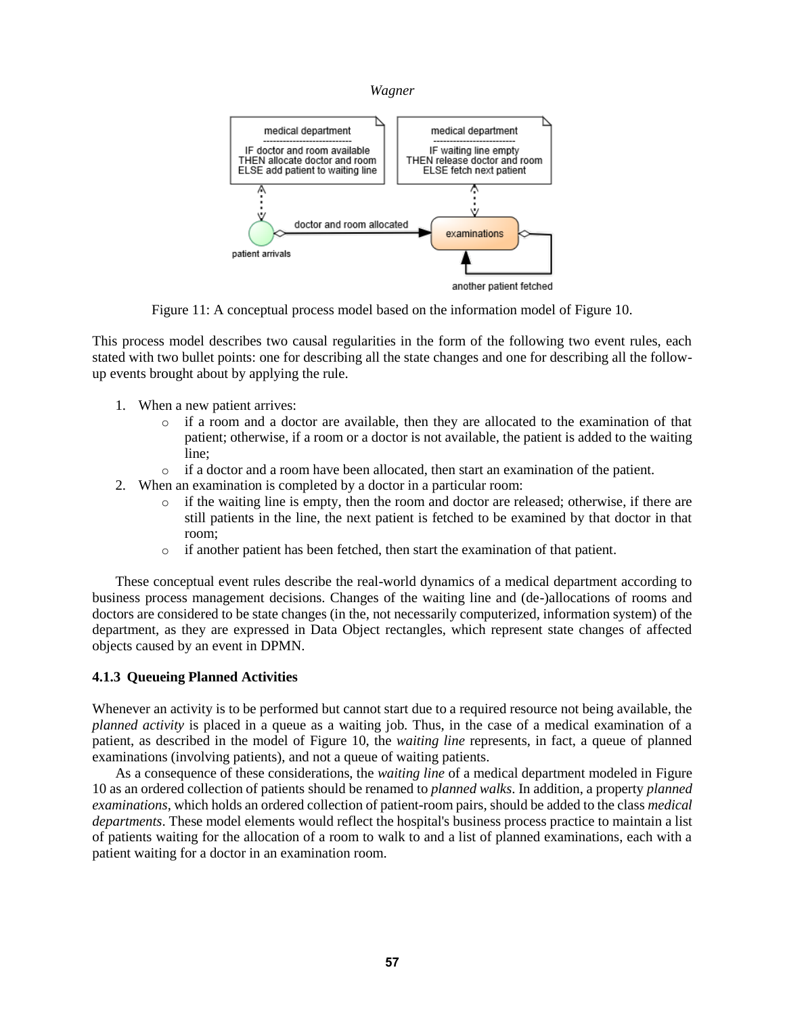



Figure 11: A conceptual process model based on the information model of Figure 10.

This process model describes two causal regularities in the form of the following two event rules, each stated with two bullet points: one for describing all the state changes and one for describing all the followup events brought about by applying the rule.

- 1. When a new patient arrives:
	- o if a room and a doctor are available, then they are allocated to the examination of that patient; otherwise, if a room or a doctor is not available, the patient is added to the waiting line;
	- o if a doctor and a room have been allocated, then start an examination of the patient.
- 2. When an examination is completed by a doctor in a particular room:
	- o if the waiting line is empty, then the room and doctor are released; otherwise, if there are still patients in the line, the next patient is fetched to be examined by that doctor in that room;
	- o if another patient has been fetched, then start the examination of that patient.

These conceptual event rules describe the real-world dynamics of a medical department according to business process management decisions. Changes of the waiting line and (de-)allocations of rooms and doctors are considered to be state changes (in the, not necessarily computerized, information system) of the department, as they are expressed in Data Object rectangles, which represent state changes of affected objects caused by an event in DPMN.

# **4.1.3 Queueing Planned Activities**

Whenever an activity is to be performed but cannot start due to a required resource not being available, the *planned activity* is placed in a queue as a waiting job. Thus, in the case of a medical examination of a patient, as described in the model of Figure 10, the *waiting line* represents, in fact, a queue of planned examinations (involving patients), and not a queue of waiting patients.

As a consequence of these considerations, the *waiting line* of a medical department modeled in Figure 10 as an ordered collection of patients should be renamed to *planned walks*. In addition, a property *planned examinations*, which holds an ordered collection of patient-room pairs, should be added to the class *medical departments*. These model elements would reflect the hospital's business process practice to maintain a list of patients waiting for the allocation of a room to walk to and a list of planned examinations, each with a patient waiting for a doctor in an examination room.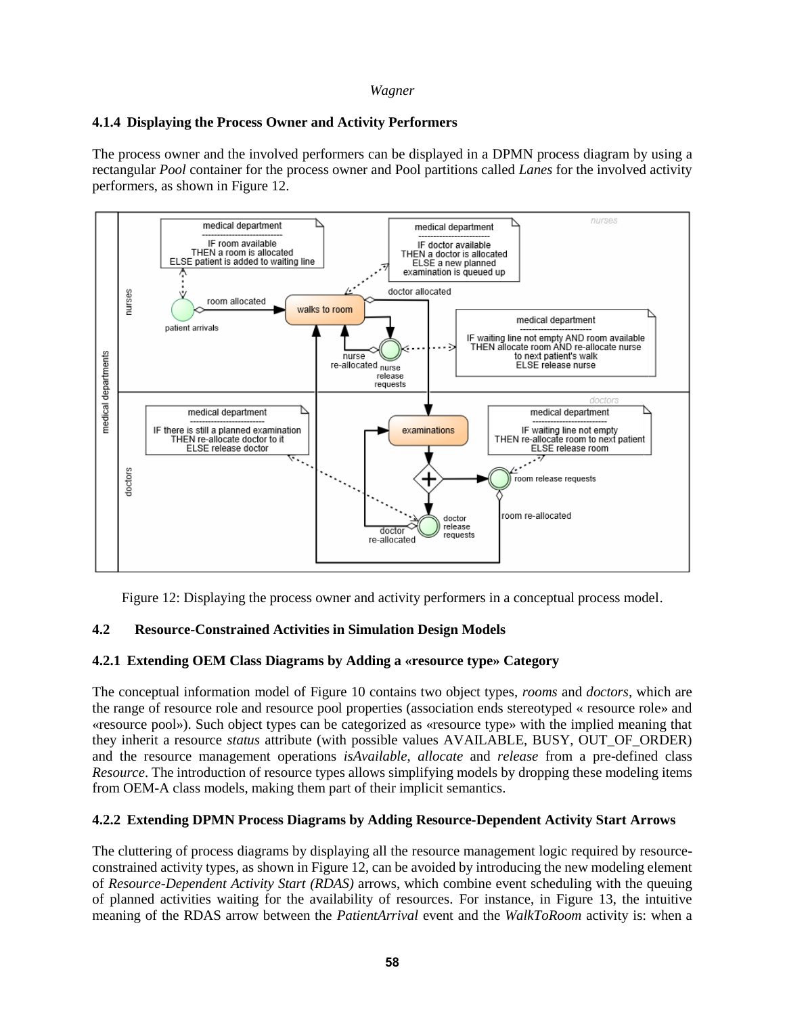# **4.1.4 Displaying the Process Owner and Activity Performers**

The process owner and the involved performers can be displayed in a DPMN process diagram by using a rectangular *Pool* container for the process owner and Pool partitions called *Lanes* for the involved activity performers, as shown in Figure 12.



Figure 12: Displaying the process owner and activity performers in a conceptual process model.

# **4.2 Resource-Constrained Activities in Simulation Design Models**

## **4.2.1 Extending OEM Class Diagrams by Adding a «resource type» Category**

The conceptual information model of Figure 10 contains two object types, *rooms* and *doctors*, which are the range of resource role and resource pool properties (association ends stereotyped « resource role» and «resource pool»). Such object types can be categorized as «resource type» with the implied meaning that they inherit a resource *status* attribute (with possible values AVAILABLE, BUSY, OUT\_OF\_ORDER) and the resource management operations *isAvailable*, *allocate* and *release* from a pre-defined class *Resource*. The introduction of resource types allows simplifying models by dropping these modeling items from OEM-A class models, making them part of their implicit semantics.

## **4.2.2 Extending DPMN Process Diagrams by Adding Resource-Dependent Activity Start Arrows**

The cluttering of process diagrams by displaying all the resource management logic required by resourceconstrained activity types, as shown in Figure 12, can be avoided by introducing the new modeling element of *Resource-Dependent Activity Start (RDAS)* arrows, which combine event scheduling with the queuing of planned activities waiting for the availability of resources. For instance, in Figure 13, the intuitive meaning of the RDAS arrow between the *PatientArrival* event and the *WalkToRoom* activity is: when a